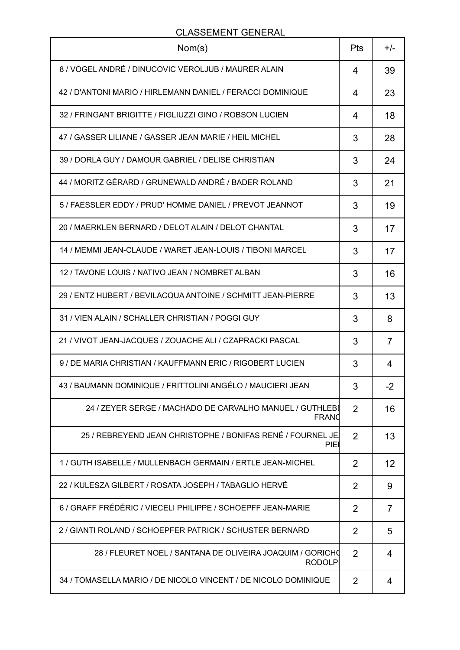## CLASSEMENT GENERAL

| Nom(s)                                                                     | Pts | $+/-$          |
|----------------------------------------------------------------------------|-----|----------------|
| 8 / VOGEL ANDRÉ / DINUCOVIC VEROLJUB / MAURER ALAIN                        | 4   | 39             |
| 42 / D'ANTONI MARIO / HIRLEMANN DANIEL / FERACCI DOMINIQUE                 | 4   | 23             |
| 32 / FRINGANT BRIGITTE / FIGLIUZZI GINO / ROBSON LUCIEN                    | 4   | 18             |
| 47 / GASSER LILIANE / GASSER JEAN MARIE / HEIL MICHEL                      | 3   | 28             |
| 39 / DORLA GUY / DAMOUR GABRIEL / DELISE CHRISTIAN                         | 3   | 24             |
| 44 / MORITZ GÉRARD / GRUNEWALD ANDRÉ / BADER ROLAND                        | 3   | 21             |
| 5 / FAESSLER EDDY / PRUD' HOMME DANIEL / PREVOT JEANNOT                    | 3   | 19             |
| 20 / MAERKLEN BERNARD / DELOT ALAIN / DELOT CHANTAL                        | 3   | 17             |
| 14 / MEMMI JEAN-CLAUDE / WARET JEAN-LOUIS / TIBONI MARCEL                  | 3   | 17             |
| 12 / TAVONE LOUIS / NATIVO JEAN / NOMBRET ALBAN                            | 3   | 16             |
| 29 / ENTZ HUBERT / BEVILACQUA ANTOINE / SCHMITT JEAN-PIERRE                | 3   | 13             |
| 31 / VIEN ALAIN / SCHALLER CHRISTIAN / POGGI GUY                           | 3   | 8              |
| 21 / VIVOT JEAN-JACQUES / ZOUACHE ALI / CZAPRACKI PASCAL                   | 3   | 7              |
| 9 / DE MARIA CHRISTIAN / KAUFFMANN ERIC / RIGOBERT LUCIEN                  | 3   | 4              |
| 43 / BAUMANN DOMINIQUE / FRITTOLINI ANGÉLO / MAUCIERI JEAN                 | 3   | -2             |
| 24 / ZEYER SERGE / MACHADO DE CARVALHO MANUEL / GUTHLEBI<br><b>FRANO</b>   | 2   | 16             |
| 25 / REBREYEND JEAN CHRISTOPHE / BONIFAS RENÉ / FOURNEL JE<br>PIE          | 2   | 13             |
| 1/GUTH ISABELLE / MULLENBACH GERMAIN / ERTLE JEAN-MICHEL                   | 2   | 12             |
| 22 / KULESZA GILBERT / ROSATA JOSEPH / TABAGLIO HERVÉ                      | 2   | 9              |
| 6 / GRAFF FRÉDÉRIC / VIECELI PHILIPPE / SCHOEPFF JEAN-MARIE                | 2   | $\overline{7}$ |
| 2 / GIANTI ROLAND / SCHOEPFER PATRICK / SCHUSTER BERNARD                   | 2   | 5              |
| 28 / FLEURET NOEL / SANTANA DE OLIVEIRA JOAQUIM / GORICHO<br><b>RODOLP</b> | 2   | 4              |
| 34 / TOMASELLA MARIO / DE NICOLO VINCENT / DE NICOLO DOMINIQUE             | 2   | 4              |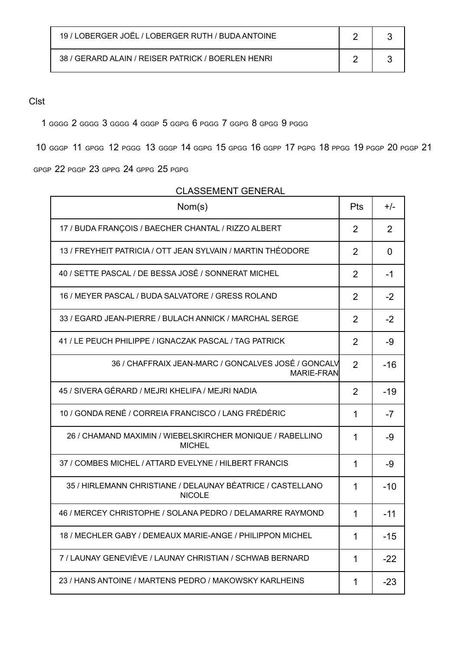| 19 / LOBERGER JOËL / LOBERGER RUTH / BUDA ANTOINE  |  |
|----------------------------------------------------|--|
| 38 / GERARD ALAIN / REISER PATRICK / BOERLEN HENRI |  |

## Clst

GGGG 2 GGGG 3 GGGG 4 GGGP 5 GGPG 6 PGGG 7 GGPG 8 GPGG 9 PGGG

GGGP 11 GPGG 12 PGGG 13 GGGP 14 GGPG 15 GPGG 16 GGPP 17 PGPG 18 PPGG 19 PGGP 20 PGGP 21

GPGP 22 PGGP 23 GPPG 24 GPPG 25 PGPG

| Nom(s)                                                                      | Pts            | +/-            |
|-----------------------------------------------------------------------------|----------------|----------------|
| 17 / BUDA FRANÇOIS / BAECHER CHANTAL / RIZZO ALBERT                         | $\overline{2}$ | $\overline{2}$ |
| 13 / FREYHEIT PATRICIA / OTT JEAN SYLVAIN / MARTIN THÉODORE                 | $\overline{2}$ | 0              |
| 40 / SETTE PASCAL / DE BESSA JOSÉ / SONNERAT MICHEL                         | $\overline{2}$ | -1             |
| 16 / MEYER PASCAL / BUDA SALVATORE / GRESS ROLAND                           | $\overline{2}$ | $-2$           |
| 33 / EGARD JEAN-PIERRE / BULACH ANNICK / MARCHAL SERGE                      | 2              | $-2$           |
| 41 / LE PEUCH PHILIPPE / IGNACZAK PASCAL / TAG PATRICK                      | $\overline{2}$ | -9             |
| 36 / CHAFFRAIX JEAN-MARC / GONCALVES JOSÉ / GONCALV<br><b>MARIE-FRAN</b>    | $\overline{2}$ | $-16$          |
| 45 / SIVERA GÉRARD / MEJRI KHELIFA / MEJRI NADIA                            | $\overline{2}$ | $-19$          |
| 10 / GONDA RENÉ / CORREIA FRANCISCO / LANG FRÉDÉRIC                         | 1              | $-7$           |
| 26 / CHAMAND MAXIMIN / WIEBELSKIRCHER MONIQUE / RABELLINO<br>MICHEL         | 1              | -9             |
| 37 / COMBES MICHEL / ATTARD EVELYNE / HILBERT FRANCIS                       | 1              | -9             |
| 35 / HIRLEMANN CHRISTIANE / DELAUNAY BÉATRICE / CASTELLANO<br><b>NICOLE</b> | 1              | $-10$          |
| 46 / MERCEY CHRISTOPHE / SOLANA PEDRO / DELAMARRE RAYMOND                   | 1              | $-11$          |
| 18 / MECHLER GABY / DEMEAUX MARIE-ANGE / PHILIPPON MICHEL                   | 1              | $-15$          |
| 7 / LAUNAY GENEVIÈVE / LAUNAY CHRISTIAN / SCHWAB BERNARD                    | 1              | $-22$          |
| 23 / HANS ANTOINE / MARTENS PEDRO / MAKOWSKY KARLHEINS                      | 1              | $-23$          |

## CLASSEMENT GENERAL